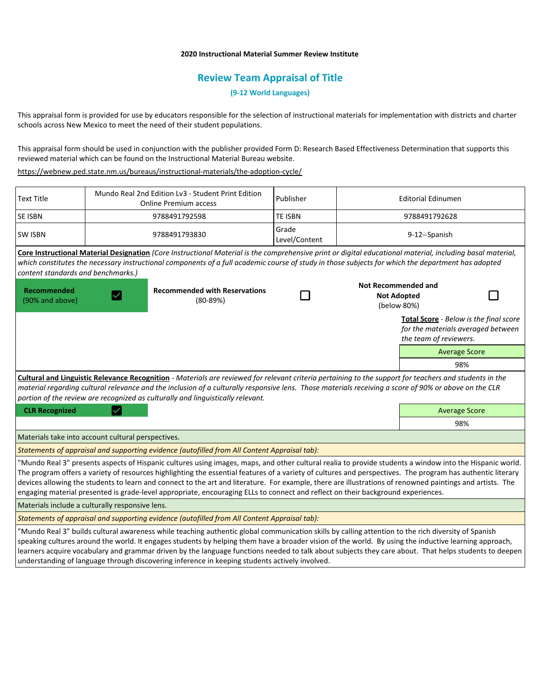# **2020 Instructional Material Summer Review Institute**

# **Review Team Appraisal of Title**

**(9-12 World Languages)**

This appraisal form is provided for use by educators responsible for the selection of instructional materials for implementation with districts and charter schools across New Mexico to meet the need of their student populations.

This appraisal form should be used in conjunction with the publisher provided Form D: Research Based Effectiveness Determination that supports this reviewed material which can be found on the Instructional Material Bureau website.

<https://webnew.ped.state.nm.us/bureaus/instructional-materials/the-adoption-cycle/>

| <b>Text Title</b>                                                                                                                                                                                                                                                                                                                                                                                                                                                                                                                                                                                                        | Mundo Real 2nd Edition Lv3 - Student Print Edition<br><b>Online Premium access</b>                                                                                                                                                                                                                               | Publisher              | <b>Editorial Edinumen</b>                                       |                                                                                                               |  |
|--------------------------------------------------------------------------------------------------------------------------------------------------------------------------------------------------------------------------------------------------------------------------------------------------------------------------------------------------------------------------------------------------------------------------------------------------------------------------------------------------------------------------------------------------------------------------------------------------------------------------|------------------------------------------------------------------------------------------------------------------------------------------------------------------------------------------------------------------------------------------------------------------------------------------------------------------|------------------------|-----------------------------------------------------------------|---------------------------------------------------------------------------------------------------------------|--|
| <b>SE ISBN</b>                                                                                                                                                                                                                                                                                                                                                                                                                                                                                                                                                                                                           | 9788491792598                                                                                                                                                                                                                                                                                                    | <b>TE ISBN</b>         | 9788491792628                                                   |                                                                                                               |  |
| <b>SW ISBN</b>                                                                                                                                                                                                                                                                                                                                                                                                                                                                                                                                                                                                           | 9788491793830                                                                                                                                                                                                                                                                                                    | Grade<br>Level/Content | 9-12--Spanish                                                   |                                                                                                               |  |
| content standards and benchmarks.)                                                                                                                                                                                                                                                                                                                                                                                                                                                                                                                                                                                       | Core Instructional Material Designation (Core Instructional Material is the comprehensive print or digital educational material, including basal material,<br>which constitutes the necessary instructional components of a full academic course of study in those subjects for which the department has adopted |                        |                                                                 |                                                                                                               |  |
| <b>Recommended</b><br>(90% and above)                                                                                                                                                                                                                                                                                                                                                                                                                                                                                                                                                                                    | <b>Recommended with Reservations</b><br>$(80-89%)$                                                                                                                                                                                                                                                               |                        | <b>Not Recommended and</b><br><b>Not Adopted</b><br>(below 80%) |                                                                                                               |  |
|                                                                                                                                                                                                                                                                                                                                                                                                                                                                                                                                                                                                                          |                                                                                                                                                                                                                                                                                                                  |                        |                                                                 | <b>Total Score</b> - Below is the final score<br>for the materials averaged between<br>the team of reviewers. |  |
|                                                                                                                                                                                                                                                                                                                                                                                                                                                                                                                                                                                                                          |                                                                                                                                                                                                                                                                                                                  |                        |                                                                 | <b>Average Score</b>                                                                                          |  |
|                                                                                                                                                                                                                                                                                                                                                                                                                                                                                                                                                                                                                          |                                                                                                                                                                                                                                                                                                                  |                        |                                                                 | 98%                                                                                                           |  |
| Cultural and Linguistic Relevance Recognition - Materials are reviewed for relevant criteria pertaining to the support for teachers and students in the<br>material regarding cultural relevance and the inclusion of a culturally responsive lens. Those materials receiving a score of 90% or above on the CLR<br>portion of the review are recognized as culturally and linguistically relevant.                                                                                                                                                                                                                      |                                                                                                                                                                                                                                                                                                                  |                        |                                                                 |                                                                                                               |  |
| <b>CLR Recognized</b>                                                                                                                                                                                                                                                                                                                                                                                                                                                                                                                                                                                                    |                                                                                                                                                                                                                                                                                                                  |                        |                                                                 | <b>Average Score</b>                                                                                          |  |
|                                                                                                                                                                                                                                                                                                                                                                                                                                                                                                                                                                                                                          |                                                                                                                                                                                                                                                                                                                  |                        |                                                                 | 98%                                                                                                           |  |
| Materials take into account cultural perspectives.                                                                                                                                                                                                                                                                                                                                                                                                                                                                                                                                                                       |                                                                                                                                                                                                                                                                                                                  |                        |                                                                 |                                                                                                               |  |
| Statements of appraisal and supporting evidence (autofilled from All Content Appraisal tab):                                                                                                                                                                                                                                                                                                                                                                                                                                                                                                                             |                                                                                                                                                                                                                                                                                                                  |                        |                                                                 |                                                                                                               |  |
| "Mundo Real 3" presents aspects of Hispanic cultures using images, maps, and other cultural realia to provide students a window into the Hispanic world.<br>The program offers a variety of resources highlighting the essential features of a variety of cultures and perspectives. The program has authentic literary<br>devices allowing the students to learn and connect to the art and literature. For example, there are illustrations of renowned paintings and artists. The<br>engaging material presented is grade-level appropriate, encouraging ELLs to connect and reflect on their background experiences. |                                                                                                                                                                                                                                                                                                                  |                        |                                                                 |                                                                                                               |  |
|                                                                                                                                                                                                                                                                                                                                                                                                                                                                                                                                                                                                                          | Materials include a culturally responsive lens.                                                                                                                                                                                                                                                                  |                        |                                                                 |                                                                                                               |  |
| Statements of appraisal and supporting evidence (autofilled from All Content Appraisal tab):                                                                                                                                                                                                                                                                                                                                                                                                                                                                                                                             |                                                                                                                                                                                                                                                                                                                  |                        |                                                                 |                                                                                                               |  |
| "Mundo Real 3" builds cultural awareness while teaching authentic global communication skills by calling attention to the rich diversity of Spanish<br>speaking cultures around the world. It engages students by helping them have a broader vision of the world. By using the inductive learning approach,                                                                                                                                                                                                                                                                                                             |                                                                                                                                                                                                                                                                                                                  |                        |                                                                 |                                                                                                               |  |

learners acquire vocabulary and grammar driven by the language functions needed to talk about subjects they care about. That helps students to deepen understanding of language through discovering inference in keeping students actively involved.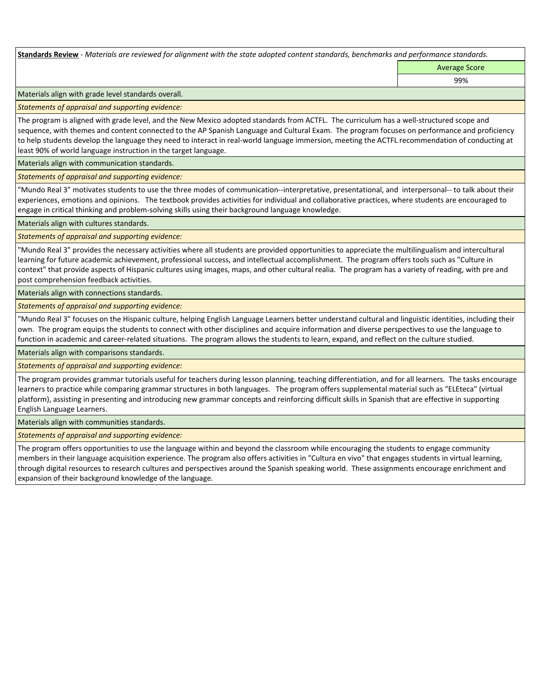**Standards Review** *- Materials are reviewed for alignment with the state adopted content standards, benchmarks and performance standards.*

Average Score

99%

Materials align with grade level standards overall.

*Statements of appraisal and supporting evidence:* 

The program is aligned with grade level, and the New Mexico adopted standards from ACTFL. The curriculum has a well-structured scope and sequence, with themes and content connected to the AP Spanish Language and Cultural Exam. The program focuses on performance and proficiency to help students develop the language they need to interact in real-world language immersion, meeting the ACTFL recommendation of conducting at least 90% of world language instruction in the target language.

Materials align with communication standards.

*Statements of appraisal and supporting evidence:* 

"Mundo Real 3" motivates students to use the three modes of communication--interpretative, presentational, and interpersonal-- to talk about their experiences, emotions and opinions. The textbook provides activities for individual and collaborative practices, where students are encouraged to engage in critical thinking and problem-solving skills using their background language knowledge.

Materials align with cultures standards.

*Statements of appraisal and supporting evidence:* 

"Mundo Real 3" provides the necessary activities where all students are provided opportunities to appreciate the multilingualism and intercultural learning for future academic achievement, professional success, and intellectual accomplishment. The program offers tools such as "Culture in context" that provide aspects of Hispanic cultures using images, maps, and other cultural realia. The program has a variety of reading, with pre and post comprehension feedback activities.

Materials align with connections standards.

*Statements of appraisal and supporting evidence:* 

"Mundo Real 3" focuses on the Hispanic culture, helping English Language Learners better understand cultural and linguistic identities, including their own. The program equips the students to connect with other disciplines and acquire information and diverse perspectives to use the language to function in academic and career-related situations. The program allows the students to learn, expand, and reflect on the culture studied.

Materials align with comparisons standards.

*Statements of appraisal and supporting evidence:* 

The program provides grammar tutorials useful for teachers during lesson planning, teaching differentiation, and for all learners. The tasks encourage learners to practice while comparing grammar structures in both languages. The program offers supplemental material such as "ELEteca" (virtual platform), assisting in presenting and introducing new grammar concepts and reinforcing difficult skills in Spanish that are effective in supporting English Language Learners.

Materials align with communities standards.

*Statements of appraisal and supporting evidence:* 

The program offers opportunities to use the language within and beyond the classroom while encouraging the students to engage community members in their language acquisition experience. The program also offers activities in "Cultura en vivo" that engages students in virtual learning, through digital resources to research cultures and perspectives around the Spanish speaking world. These assignments encourage enrichment and expansion of their background knowledge of the language.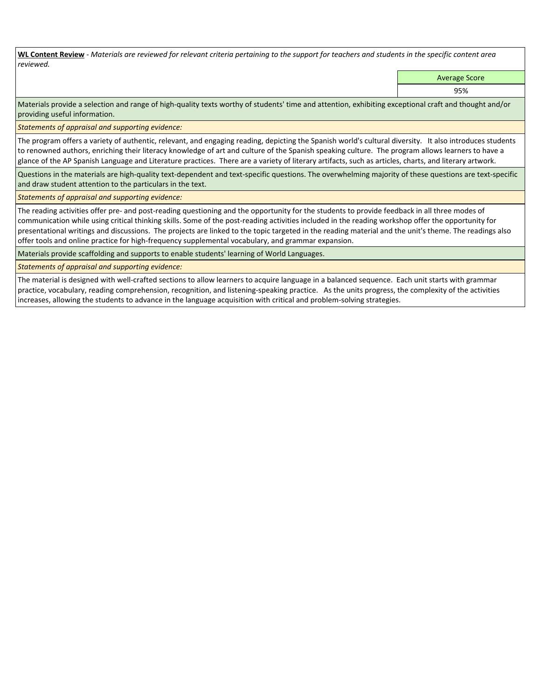**WL Content Review** *- Materials are reviewed for relevant criteria pertaining to the support for teachers and students in the specific content area reviewed.*

Average Score

95%

Materials provide a selection and range of high-quality texts worthy of students' time and attention, exhibiting exceptional craft and thought and/or providing useful information.

*Statements of appraisal and supporting evidence:* 

The program offers a variety of authentic, relevant, and engaging reading, depicting the Spanish world's cultural diversity. It also introduces students to renowned authors, enriching their literacy knowledge of art and culture of the Spanish speaking culture. The program allows learners to have a glance of the AP Spanish Language and Literature practices. There are a variety of literary artifacts, such as articles, charts, and literary artwork.

Questions in the materials are high-quality text-dependent and text-specific questions. The overwhelming majority of these questions are text-specific and draw student attention to the particulars in the text.

*Statements of appraisal and supporting evidence:* 

The reading activities offer pre- and post-reading questioning and the opportunity for the students to provide feedback in all three modes of communication while using critical thinking skills. Some of the post-reading activities included in the reading workshop offer the opportunity for presentational writings and discussions. The projects are linked to the topic targeted in the reading material and the unit's theme. The readings also offer tools and online practice for high-frequency supplemental vocabulary, and grammar expansion.

Materials provide scaffolding and supports to enable students' learning of World Languages.

*Statements of appraisal and supporting evidence:* 

The material is designed with well-crafted sections to allow learners to acquire language in a balanced sequence. Each unit starts with grammar practice, vocabulary, reading comprehension, recognition, and listening-speaking practice. As the units progress, the complexity of the activities increases, allowing the students to advance in the language acquisition with critical and problem-solving strategies.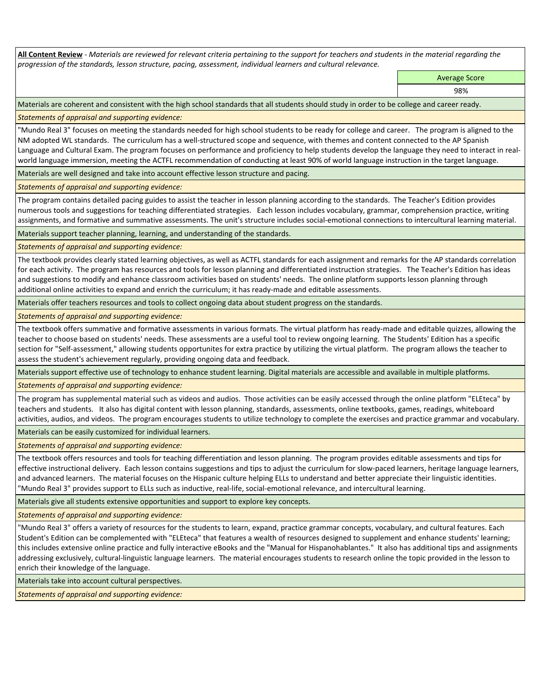**All Content Review** *- Materials are reviewed for relevant criteria pertaining to the support for teachers and students in the material regarding the progression of the standards, lesson structure, pacing, assessment, individual learners and cultural relevance.*

Average Score

98%

Materials are coherent and consistent with the high school standards that all students should study in order to be college and career ready.

*Statements of appraisal and supporting evidence:*

"Mundo Real 3" focuses on meeting the standards needed for high school students to be ready for college and career. The program is aligned to the NM adopted WL standards. The curriculum has a well-structured scope and sequence, with themes and content connected to the AP Spanish Language and Cultural Exam. The program focuses on performance and proficiency to help students develop the language they need to interact in realworld language immersion, meeting the ACTFL recommendation of conducting at least 90% of world language instruction in the target language.

Materials are well designed and take into account effective lesson structure and pacing.

*Statements of appraisal and supporting evidence:*

The program contains detailed pacing guides to assist the teacher in lesson planning according to the standards. The Teacher's Edition provides numerous tools and suggestions for teaching differentiated strategies. Each lesson includes vocabulary, grammar, comprehension practice, writing assignments, and formative and summative assessments. The unit's structure includes social-emotional connections to intercultural learning material.

Materials support teacher planning, learning, and understanding of the standards.

*Statements of appraisal and supporting evidence:*

The textbook provides clearly stated learning objectives, as well as ACTFL standards for each assignment and remarks for the AP standards correlation for each activity. The program has resources and tools for lesson planning and differentiated instruction strategies. The Teacher's Edition has ideas and suggestions to modify and enhance classroom activities based on students' needs. The online platform supports lesson planning through additional online activities to expand and enrich the curriculum; it has ready-made and editable assessments.

Materials offer teachers resources and tools to collect ongoing data about student progress on the standards.

*Statements of appraisal and supporting evidence:*

The textbook offers summative and formative assessments in various formats. The virtual platform has ready-made and editable quizzes, allowing the teacher to choose based on students' needs. These assessments are a useful tool to review ongoing learning. The Students' Edition has a specific section for "Self-assessment," allowing students opportunites for extra practice by utilizing the virtual platform. The program allows the teacher to assess the student's achievement regularly, providing ongoing data and feedback.

Materials support effective use of technology to enhance student learning. Digital materials are accessible and available in multiple platforms.

*Statements of appraisal and supporting evidence:*

The program has supplemental material such as videos and audios. Those activities can be easily accessed through the online platform "ELEteca" by teachers and students. It also has digital content with lesson planning, standards, assessments, online textbooks, games, readings, whiteboard activities, audios, and videos. The program encourages students to utilize technology to complete the exercises and practice grammar and vocabulary.

Materials can be easily customized for individual learners.

*Statements of appraisal and supporting evidence:* 

The textbook offers resources and tools for teaching differentiation and lesson planning. The program provides editable assessments and tips for effective instructional delivery. Each lesson contains suggestions and tips to adjust the curriculum for slow-paced learners, heritage language learners, and advanced learners. The material focuses on the Hispanic culture helping ELLs to understand and better appreciate their linguistic identities. "Mundo Real 3" provides support to ELLs such as inductive, real-life, social-emotional relevance, and intercultural learning.

Materials give all students extensive opportunities and support to explore key concepts.

*Statements of appraisal and supporting evidence:*

"Mundo Real 3" offers a variety of resources for the students to learn, expand, practice grammar concepts, vocabulary, and cultural features. Each Student's Edition can be complemented with "ELEteca" that features a wealth of resources designed to supplement and enhance students' learning; this includes extensive online practice and fully interactive eBooks and the "Manual for Hispanohablantes." It also has additional tips and assignments addressing exclusively, cultural-linguistic language learners. The material encourages students to research online the topic provided in the lesson to enrich their knowledge of the language.

Materials take into account cultural perspectives.

*Statements of appraisal and supporting evidence:*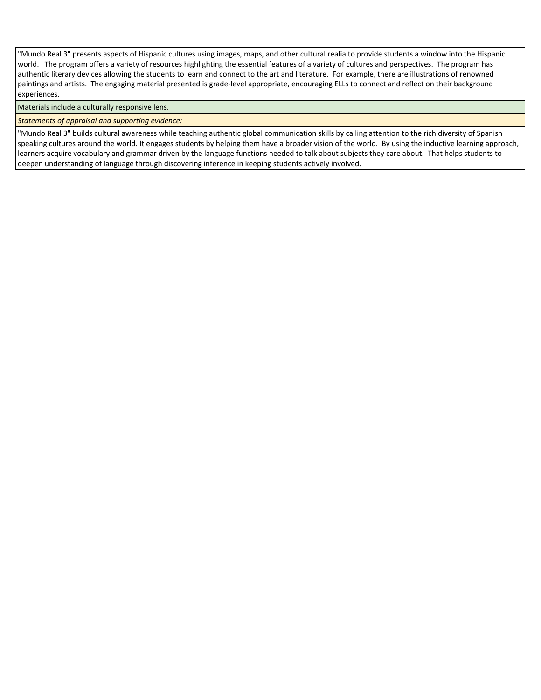"Mundo Real 3" presents aspects of Hispanic cultures using images, maps, and other cultural realia to provide students a window into the Hispanic world. The program offers a variety of resources highlighting the essential features of a variety of cultures and perspectives. The program has authentic literary devices allowing the students to learn and connect to the art and literature. For example, there are illustrations of renowned paintings and artists. The engaging material presented is grade-level appropriate, encouraging ELLs to connect and reflect on their background experiences.

Materials include a culturally responsive lens.

*Statements of appraisal and supporting evidence:*

"Mundo Real 3" builds cultural awareness while teaching authentic global communication skills by calling attention to the rich diversity of Spanish speaking cultures around the world. It engages students by helping them have a broader vision of the world. By using the inductive learning approach, learners acquire vocabulary and grammar driven by the language functions needed to talk about subjects they care about. That helps students to deepen understanding of language through discovering inference in keeping students actively involved.